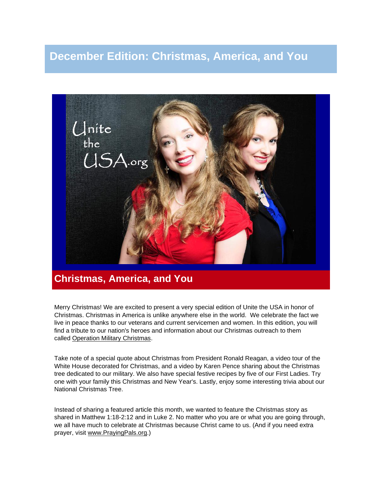# **December Edition: Christmas, America, and You**



## **Christmas, America, and You**

Merry Christmas! We are excited to present a very special edition of Unite the USA in honor of Christmas. Christmas in America is unlike anywhere else in the world. We celebrate the fact we live in peace thanks to our veterans and current servicemen and women. In this edition, you will find a tribute to our nation's heroes and information about our Christmas outreach to them called [Operation Military Christmas.](http://unitetheusa.org/id124.html)

Take note of a special quote about Christmas from President Ronald Reagan, a video tour of the White House decorated for Christmas, and a video by Karen Pence sharing about the Christmas tree dedicated to our military. We also have special festive recipes by five of our First Ladies. Try one with your family this Christmas and New Year's. Lastly, enjoy some interesting trivia about our National Christmas Tree.

Instead of sharing a featured article this month, we wanted to feature the Christmas story as shared in Matthew 1:18-2:12 and in Luke 2. No matter who you are or what you are going through, we all have much to celebrate at Christmas because Christ came to us. (And if you need extra prayer, visit [www.PrayingPals.org.](http://www.prayingpals.org/))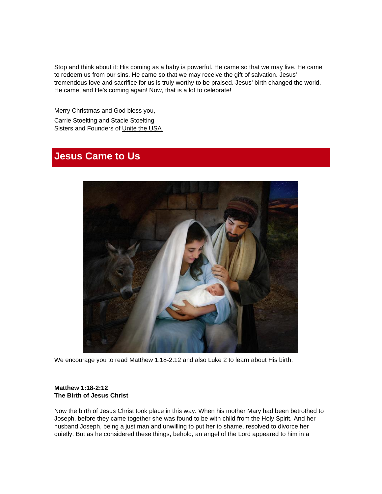Stop and think about it: His coming as a baby is powerful. He came so that we may live. He came to redeem us from our sins. He came so that we may receive the gift of salvation. Jesus' tremendous love and sacrifice for us is truly worthy to be praised. Jesus' birth changed the world. He came, and He's coming again! Now, that is a lot to celebrate!

Merry Christmas and God bless you, Carrie Stoelting and Stacie Stoelting Sisters and Founders of [Unite the USA](http://unitetheusa.org/index.html)

## **Jesus Came to Us**



We encourage you to read Matthew 1:18-2:12 and also Luke 2 to learn about His birth.

#### **Matthew 1:18-2:12 The Birth of Jesus Christ**

Now the birth of Jesus Christ took place in this way. When his mother Mary had been betrothed to Joseph, before they came together she was found to be with child from the Holy Spirit. And her husband Joseph, being a just man and unwilling to put her to shame, resolved to divorce her quietly. But as he considered these things, behold, an angel of the Lord appeared to him in a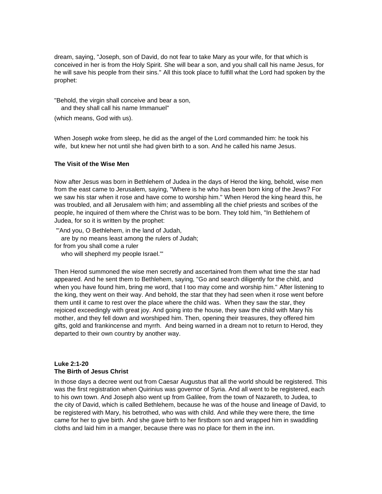dream, saying, "Joseph, son of David, do not fear to take Mary as your wife, for that which is conceived in her is from the Holy Spirit. She will bear a son, and you shall call his name Jesus, for he will save his people from their sins." All this took place to fulfill what the Lord had spoken by the prophet:

"Behold, the virgin shall conceive and bear a son, and they shall call his name Immanuel"

(which means, God with us).

When Joseph woke from sleep, he did as the angel of the Lord commanded him: he took his wife, but knew her not until she had given birth to a son. And he called his name Jesus.

#### **The Visit of the Wise Men**

Now after Jesus was born in Bethlehem of Judea in the days of Herod the king, behold, wise men from the east came to Jerusalem, saying, "Where is he who has been born king of the Jews? For we saw his star when it rose and have come to worship him." When Herod the king heard this, he was troubled, and all Jerusalem with him; and assembling all the chief priests and scribes of the people, he inquired of them where the Christ was to be born. They told him, "In Bethlehem of Judea, for so it is written by the prophet:

"'And you, O Bethlehem, in the land of Judah, are by no means least among the rulers of Judah; for from you shall come a ruler who will shepherd my people Israel.'"

Then Herod summoned the wise men secretly and ascertained from them what time the star had appeared. And he sent them to Bethlehem, saying, "Go and search diligently for the child, and when you have found him, bring me word, that I too may come and worship him." After listening to the king, they went on their way. And behold, the star that they had seen when it rose went before them until it came to rest over the place where the child was. When they saw the star, they rejoiced exceedingly with great joy. And going into the house, they saw the child with Mary his mother, and they fell down and worshiped him. Then, opening their treasures, they offered him gifts, gold and frankincense and myrrh. And being warned in a dream not to return to Herod, they departed to their own country by another way.

#### **Luke 2:1-20 The Birth of Jesus Christ**

In those days a decree went out from Caesar Augustus that all the world should be registered. This was the first registration when Quirinius was governor of Syria. And all went to be registered, each to his own town. And Joseph also went up from Galilee, from the town of Nazareth, to Judea, to the city of David, which is called Bethlehem, because he was of the house and lineage of David, to be registered with Mary, his betrothed, who was with child. And while they were there, the time came for her to give birth. And she gave birth to her firstborn son and wrapped him in swaddling cloths and laid him in a manger, because there was no place for them in the inn.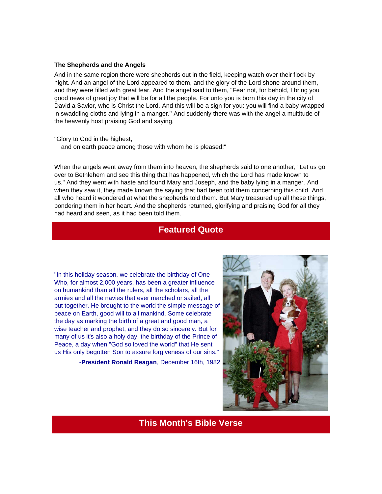#### **The Shepherds and the Angels**

And in the same region there were shepherds out in the field, keeping watch over their flock by night. And an angel of the Lord appeared to them, and the glory of the Lord shone around them, and they were filled with great fear. And the angel said to them, "Fear not, for behold, I bring you good news of great joy that will be for all the people. For unto you is born this day in the city of David a Savior, who is Christ the Lord. And this will be a sign for you: you will find a baby wrapped in swaddling cloths and lying in a manger." And suddenly there was with the angel a multitude of the heavenly host praising God and saying,

#### "Glory to God in the highest,

and on earth peace among those with whom he is pleased!"

When the angels went away from them into heaven, the shepherds said to one another, "Let us go over to Bethlehem and see this thing that has happened, which the Lord has made known to us." And they went with haste and found Mary and Joseph, and the baby lying in a manger. And when they saw it, they made known the saying that had been told them concerning this child. And all who heard it wondered at what the shepherds told them. But Mary treasured up all these things, pondering them in her heart. And the shepherds returned, glorifying and praising God for all they had heard and seen, as it had been told them.

### **Featured Quote**

"In this holiday season, we celebrate the birthday of One Who, for almost 2,000 years, has been a greater influence on humankind than all the rulers, all the scholars, all the armies and all the navies that ever marched or sailed, all put together. He brought to the world the simple message of peace on Earth, good will to all mankind. Some celebrate the day as marking the birth of a great and good man, a wise teacher and prophet, and they do so sincerely. But for many of us it's also a holy day, the birthday of the Prince of Peace, a day when "God so loved the world" that He sent us His only begotten Son to assure forgiveness of our sins."

-**President Ronald Reagan**, December 16th, 1982



**This Month's Bible Verse**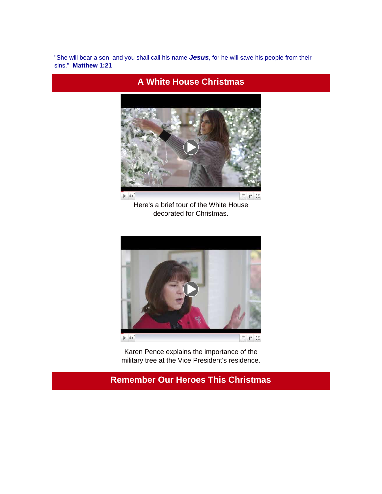"She will bear a son, and you shall call his name *Jesus*, for he will save his people from their sins." **Matthew 1:21**

**A White House Christmas**



Here's a brief tour of the White House decorated for Christmas.



Karen Pence explains the importance of the military tree at the Vice President's residence.

## **Remember Our Heroes This Christmas**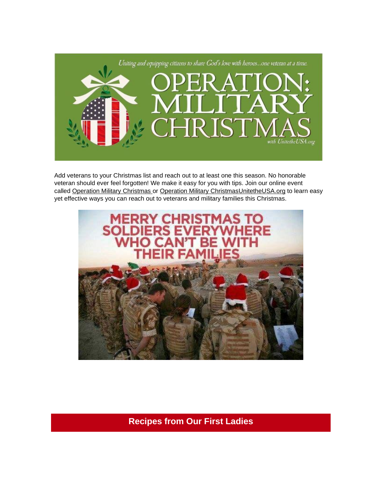

Add veterans to your Christmas list and reach out to at least one this season. No honorable veteran should ever feel forgotten! We make it easy for you with tips. Join our online event called [Operation Military Christmas](http://r20.rs6.net/tn.jsp?t=4b6ggd7ab.0.0.4h4hhncab.0&id=preview&r=3&p=https%3A%2F%2Fwww.facebook.com%2Fevents%2F873440906166362%2F) or [Operation Military Christmas](http://unitetheusa.org/id124.html)[UnitetheUSA.org](http://r20.rs6.net/tn.jsp?t=4b6ggd7ab.0.0.4h4hhncab.0&id=preview&r=3&p=http%3A%2F%2Funitetheusa.org%2Fid124.html) to learn easy yet effective ways you can reach out to veterans and military families this Christmas.



**Recipes from Our First Ladies**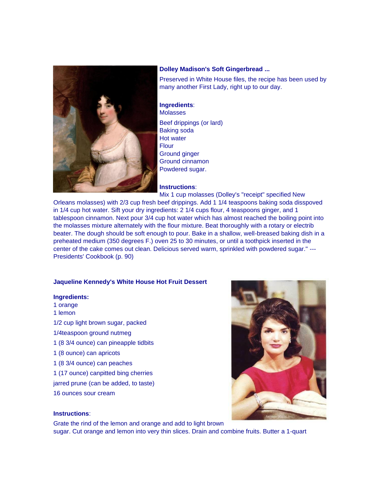

#### **Dolley Madison's Soft Gingerbread ...**

Preserved in White House files, the recipe has been used by many another First Lady, right up to our day.

#### **Ingredients**: Molasses

Beef drippings (or lard) Baking soda Hot water **Flour** Ground ginger Ground cinnamon Powdered sugar.

#### **Instructions**:

Mix 1 cup molasses (Dolley's "receipt" specified New

Orleans molasses) with 2/3 cup fresh beef drippings. Add 1 1/4 teaspoons baking soda disspoved in 1/4 cup hot water. Sift your dry ingredients: 2 1/4 cups flour, 4 teaspoons ginger, and 1 tablespoon cinnamon. Next pour 3/4 cup hot water which has almost reached the boiling point into the molasses mixture alternately with the flour mixture. Beat thoroughly with a rotary or electrib beater. The dough should be soft enough to pour. Bake in a shallow, well-breased baking dish in a preheated medium (350 degrees F.) oven 25 to 30 minutes, or until a toothpick inserted in the center of the cake comes out clean. Delicious served warm, sprinkled with powdered sugar." --- Presidents' Cookbook (p. 90)

#### **Jaqueline Kennedy's White House Hot Fruit Dessert**

#### **Ingredients:**

- 1 orange
- 1 lemon
- 1/2 cup light brown sugar, packed
- 1/4teaspoon ground nutmeg
- 1 (8 3/4 ounce) can pineapple tidbits
- 1 (8 ounce) can apricots
- 1 (8 3/4 ounce) can peaches
- 1 (17 ounce) canpitted bing cherries
- jarred prune (can be added, to taste)
- 16 ounces sour cream



#### **Instructions**:

Grate the rind of the lemon and orange and add to light brown sugar. Cut orange and lemon into very thin slices. Drain and combine fruits. Butter a 1-quart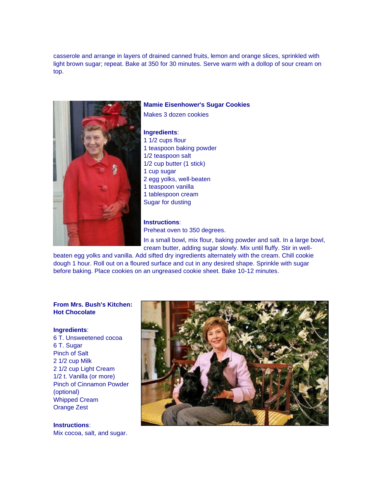casserole and arrange in layers of drained canned fruits, lemon and orange slices, sprinkled with light brown sugar; repeat. Bake at 350 for 30 minutes. Serve warm with a dollop of sour cream on top.



#### **Mamie Eisenhower's Sugar Cookies**

Makes 3 dozen cookies

#### **Ingredients**:

1 1/2 cups flour 1 teaspoon baking powder 1/2 teaspoon salt 1/2 cup butter (1 stick) 1 cup sugar 2 egg yolks, well-beaten 1 teaspoon vanilla 1 tablespoon cream Sugar for dusting

#### **Instructions**:

Preheat oven to 350 degrees.

In a small bowl, mix flour, baking powder and salt. In a large bowl, cream butter, adding sugar slowly. Mix until fluffy. Stir in well-

beaten egg yolks and vanilla. Add sifted dry ingredients alternately with the cream. Chill cookie dough 1 hour. Roll out on a floured surface and cut in any desired shape. Sprinkle with sugar before baking. Place cookies on an ungreased cookie sheet. Bake 10-12 minutes.

#### **From Mrs. Bush's Kitchen: Hot Chocolate**

#### **Ingredients**:

6 T. Unsweetened cocoa 6 T. Sugar Pinch of Salt 2 1/2 cup Milk 2 1/2 cup Light Cream 1/2 t. Vanilla (or more) Pinch of Cinnamon Powder (optional) Whipped Cream Orange Zest

**Instructions**: Mix cocoa, salt, and sugar.

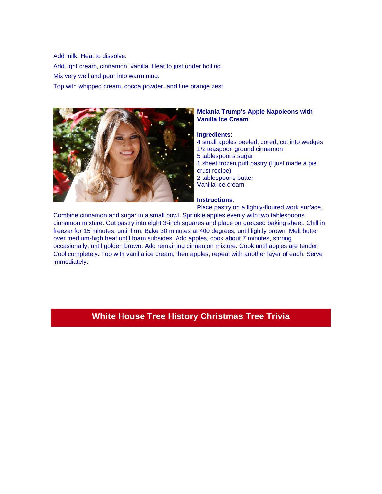Add milk. Heat to dissolve. Add light cream, cinnamon, vanilla. Heat to just under boiling. Mix very well and pour into warm mug. Top with whipped cream, cocoa powder, and fine orange zest.



#### **Melania Trump's Apple Napoleons with Vanilla Ice Cream**

#### **Ingredients**:

- 4 small apples peeled, cored, cut into wedges
- 1/2 teaspoon ground cinnamon
- 5 tablespoons sugar
- 1 sheet frozen puff pastry (I just made a pie crust recipe)
- 2 tablespoons butter
- Vanilla ice cream

#### **Instructions**:

Place pastry on a lightly-floured work surface.

Combine cinnamon and sugar in a small bowl. Sprinkle apples evenly with two tablespoons cinnamon mixture. Cut pastry into eight 3-inch squares and place on greased baking sheet. Chill in freezer for 15 minutes, until firm. Bake 30 minutes at 400 degrees, until lightly brown. Melt butter over medium-high heat until foam subsides. Add apples, cook about 7 minutes, stirring occasionally, until golden brown. Add remaining cinnamon mixture. Cook until apples are tender. Cool completely. Top with vanilla ice cream, then apples, repeat with another layer of each. Serve immediately.

### **White House Tree History Christmas Tree Trivia**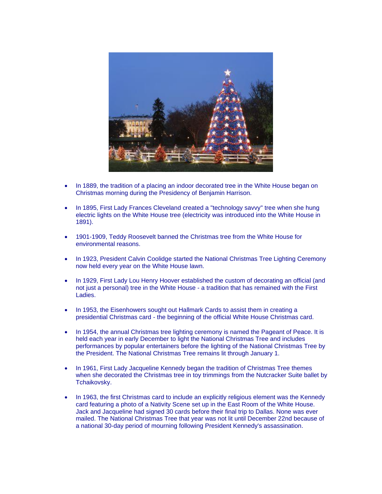

- In 1889, the tradition of a placing an indoor decorated tree in the White House began on Christmas morning during the Presidency of Benjamin Harrison.
- In 1895, First Lady Frances Cleveland created a "technology savvy" tree when she hung electric lights on the White House tree (electricity was introduced into the White House in 1891).
- 1901-1909, Teddy Roosevelt banned the Christmas tree from the White House for environmental reasons.
- In 1923, President Calvin Coolidge started the National Christmas Tree Lighting Ceremony now held every year on the White House lawn.
- In 1929, First Lady Lou Henry Hoover established the custom of decorating an official (and not just a personal) tree in the White House - a tradition that has remained with the First Ladies.
- In 1953, the Eisenhowers sought out Hallmark Cards to assist them in creating a presidential Christmas card - the beginning of the official White House Christmas card.
- In 1954, the annual Christmas tree lighting ceremony is named the Pageant of Peace. It is held each year in early December to light the National Christmas Tree and includes performances by popular entertainers before the lighting of the National Christmas Tree by the President. The National Christmas Tree remains lit through January 1.
- In 1961, First Lady Jacqueline Kennedy began the tradition of Christmas Tree themes when she decorated the Christmas tree in toy trimmings from the Nutcracker Suite ballet by Tchaikovsky.
- In 1963, the first Christmas card to include an explicitly religious element was the Kennedy card featuring a photo of a Nativity Scene set up in the East Room of the White House. Jack and Jacqueline had signed 30 cards before their final trip to Dallas. None was ever mailed. The National Christmas Tree that year was not lit until December 22nd because of a national 30-day period of mourning following President Kennedy's assassination.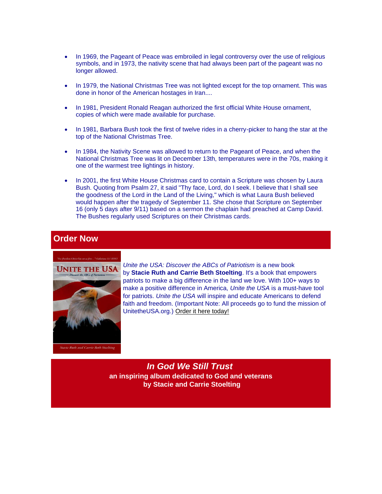- In 1969, the Pageant of Peace was embroiled in legal controversy over the use of religious symbols, and in 1973, the nativity scene that had always been part of the pageant was no longer allowed.
- In 1979, the National Christmas Tree was not lighted except for the top ornament. This was done in honor of the American hostages in Iran....
- In 1981, President Ronald Reagan authorized the first official White House ornament, copies of which were made available for purchase.
- In 1981, Barbara Bush took the first of twelve rides in a cherry-picker to hang the star at the top of the National Christmas Tree.
- In 1984, the Nativity Scene was allowed to return to the Pageant of Peace, and when the National Christmas Tree was lit on December 13th, temperatures were in the 70s, making it one of the warmest tree lightings in history.
- In 2001, the first White House Christmas card to contain a Scripture was chosen by Laura Bush. Quoting from Psalm 27, it said "Thy face, Lord, do I seek. I believe that I shall see the goodness of the Lord in the Land of the Living," which is what Laura Bush believed would happen after the tragedy of September 11. She chose that Scripture on September 16 (only 5 days after 9/11) based on a sermon the chaplain had preached at Camp David. The Bushes regularly used Scriptures on their Christmas cards.

### **Order Now**



*Unite the USA: Discover the ABCs of Patriotism* is a new book by **Stacie Ruth and Carrie Beth Stoelting**. It's a book that empowers patriots to make a big difference in the land we love. With 100+ ways to make a positive difference in America, *Unite the USA* is a must-have tool for patriots. *Unite the USA* will inspire and educate Americans to defend faith and freedom. (Important Note: All proceeds go to fund the mission of UnitetheUSA.org.) [Order it here today!](http://r20.rs6.net/tn.jsp?t=4b6ggd7ab.0.0.4h4hhncab.0&id=preview&r=3&p=http%3A%2F%2Funitetheusa.org%2Fid56.html)

*In God We Still Trust* **an inspiring album dedicated to God and veterans by Stacie and Carrie Stoelting**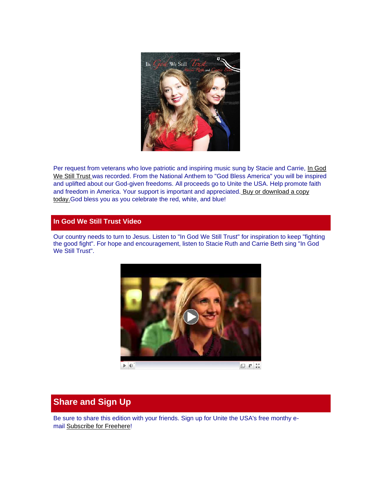

Per request from veterans who love patriotic and inspiring music sung by Stacie and Carrie, In God [We Still Trust](http://r20.rs6.net/tn.jsp?t=4b6ggd7ab.0.0.4h4hhncab.0&id=preview&r=3&p=http%3A%2F%2Funitetheusa.org%2Fid56.html) was recorded. From the National Anthem to "God Bless America" you will be inspired and uplifted about our God-given freedoms. All proceeds go to Unite the USA. Help promote faith and freedom in America[.](http://unitetheusa.org/id56.html) Your support is important and appreciated. Buy or download a copy [today.G](http://r20.rs6.net/tn.jsp?t=4b6ggd7ab.0.0.4h4hhncab.0&id=preview&r=3&p=http%3A%2F%2Funitetheusa.org%2Fid56.html)od bless you as you celebrate the red, white, and blue!

#### **In God We Still Trust Video**

Our country needs to turn to Jesus. Listen to "In God We Still Trust" for inspiration to keep "fighting the good fight". For hope and encouragement, listen to Stacie Ruth and Carrie Beth sing "In God We Still Trust".



## **Share and Sign Up**

Be sure to share this edition with your friends. Sign up for Unite the USA's free monthy email [Subscribe for Free](http://unitetheusa.org/id2.html)[here!](http://r20.rs6.net/tn.jsp?t=4b6ggd7ab.0.0.4h4hhncab.0&id=preview&r=3&p=http%3A%2F%2Fwww.unitetheusa.org%2Fid2.html)